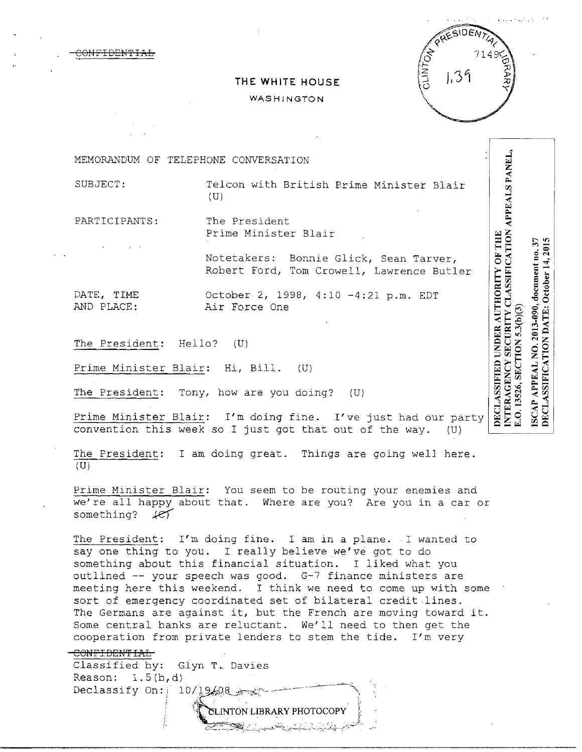<del>MEIDEMTI</del>



# THE WHITE HOUSE

### WASHINGTON

MEMORANDUM OF TELEPHONE CONVERSATION

SUBJECT:

Telcon with British Prime Minister Blair  $(U)$ 

PARTICIPANTS:

The President Prime Minister Blair

Notetakers: Bonnie Glick, Sean Tarver, Robert Ford, Tom Crowell, Lawrence Butler

DATE, TIME AND PLACE: October 2, 1998, 4:10 -4:21 p.m. EDT Air Force One

The President: Hello?  $(U)$ 

Prime Minister Blair: Hi, Bill. (U)

The President: Tony, how are you doing?  $(U)$ 

Prime Minister Blair: I'm doing fine. I've just had our party convention this week so I just got that out of the way. (U)

The President: I am doing great. Things are going well here.  $(U)$ 

Prime Minister Blair: You seem to be routing your enemies and we're all happy about that. Where are you? Are you in a car or something?  $H$ 

The President: I'm doing fine. I am in a plane. I wanted to say one thing to you. I really believe we've got to do something about this financial situation. I liked what you outlined -- your speech was good. G-7 finance ministers are meeting here this weekend. I think we need to come up with some sort of emergency coordinated set of bilateral credit lines. The Germans are against it, but the French are moving toward it. Some central banks are reluctant. We'll need to then get the cooperation from private lenders to stem the tide. I'm very

CONFIDENTIAL Classified by: Glyn T. Davies Reason:  $1.5(b,d)$ Declassify On:  $10/19/08$ SLINTON LIBRARY PHOTOCOPY

NTERAGENCY SECURITY CLASSIFICATION APPEALS PANEL, DECLASSIFIED UNDER AUTHORITY OF THE 2013-090, document no. 37 **SECTION 5.3(b)(3)**  $\tilde{Q}$ **APPEAL** E.O. 13526, ISCAP

DECLASSIFICATION DATE: October 14, 2015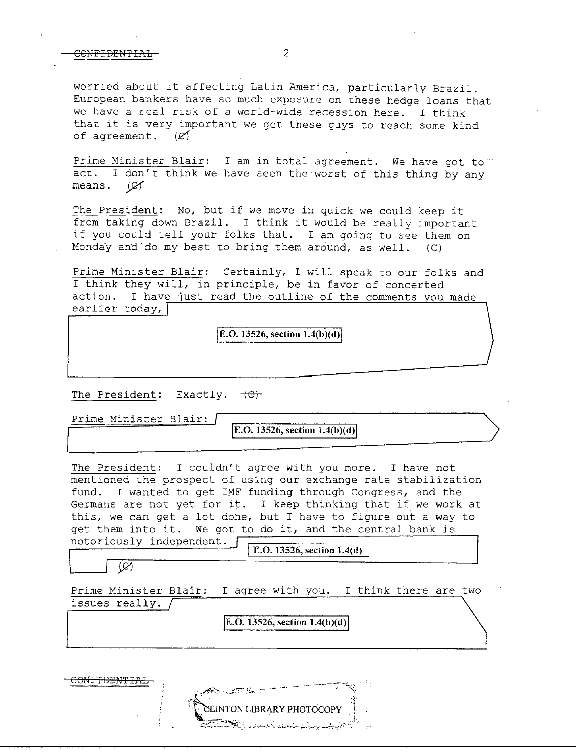#### CONFIDENTIAL 2

worried about it affecting Latin America, particularly Brazil. European bankers have so much exposure on these hedge loans that we have a real risk of a world-wide recession here. I think that it is very important we get these guys to reach some kind of agreement.  $(\mathcal{L})$ of agreement.

Prime Minister Blair: I am in total agreement. We have got to. act. I don't think we have seen the worst of this thing by any means. *J9f* 

The President: No, but if we move in quick we could keep it from taking down Brazil. I think it would be really important if you could tell your folks that. I am going to see them on Monday and do my best to bring them around, as well.  $(C)$ 

Prime Minister Blair: Certainly, I will speak to our folks and I think they will, in principle, be in favor of concerted action. I have just read the outline of the comments you made earlier today,  $\lceil$ 

 $|E.O. 13526, section 1.4(b)(d)|$ 

The President: Exactly.  $+C$ .

Prime Minister Blair:

 $\big|$ **E.O. 13526, section 1.4(b)(d)** 

The President: I couldn't agree with you more. I have not mentioned the prospect of using our exchange rate stabilization fund. I wanted to get IMF funding through Congress, and the Germans are not yet for it. I keep thinking that if we work at this, we can get a lot done, but I have to figure out a way to get them into it. We got to do it, and the central bank is notoriously independent.<br> **E.O. 13526, section 1.4(d)** 

 $\circledcirc$ 

Prime Minister Blair: I agree with you. I think there are two issues really.

**E.O. 13526, section 1.4(b)(d)** 

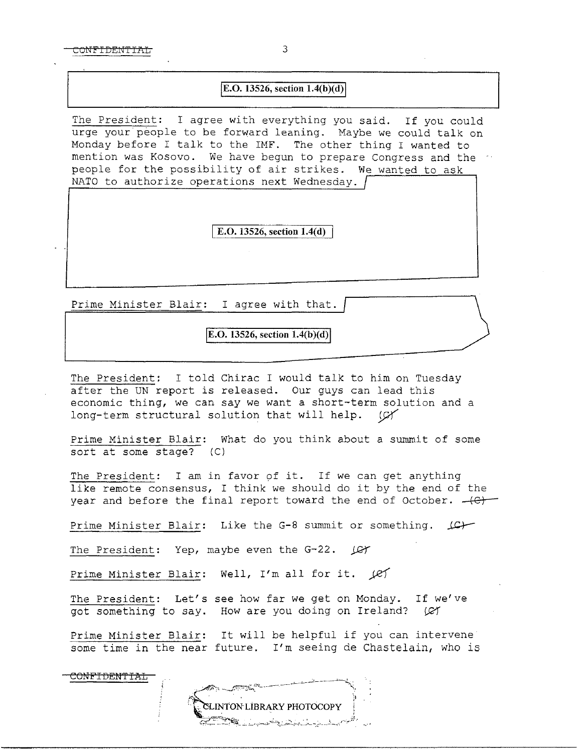CONFIDENTIAL 3

## $E.O. 13526$ , section  $1.4(b)(d)$

The President: I agree with everything you said. If you could urge your people to be forward leaning. Maybe we could talk on Monday before I talk to the IMF. The other thing I wanted to mention was Kosovo. We have begun to prepare Congress and the people for the possibility of air strikes. We wanted to ask NATO to authorize operations next Wednesday. /

E.O. 13526, section 1.4(d)

Prime Minister Blair: I agree with that.

E.O. 13526, section  $1.4(b)(d)$ 

The President: I told Chirac I would talk to him on Tuesday after the UN report is released. Our guys can lead this economic thing, we can say we want a short-term solution and a long-term structural solution that will help. (CY

Prime Minister Blair: What do you think about a summit of some sort at some stage? (C)

The President: I am in favor of it. If we can get anything like remote consensus, I think we should do it by the end of the year and before the final report toward the end of October.  $+C$ 

Prime Minister Blair: Like the G-8 summit or something.  $\Box$ 

The President: Yep, maybe even the G-22.  $\sqrt{C\sqrt{C}}$ 

Prime Minister Blair: Well, I'm all for it.  $f$ 

The President: Let's see how far we get on Monday. If we've got something to say. How are you doing on Ireland? (Ø1

Prime Minister Blair: It will be helpful if you can intervene some time in the near future. I'm seeing de Chastelain, who is

CONFIDENTIAL

 $\frac{1}{2}$ 

**SLINTON LIBRARY PHOTOCOPY**